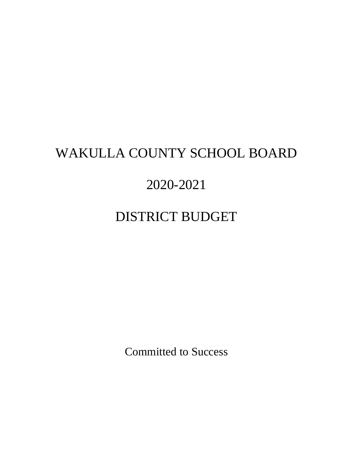# WAKULLA COUNTY SCHOOL BOARD

# 2020-2021

# DISTRICT BUDGET

Committed to Success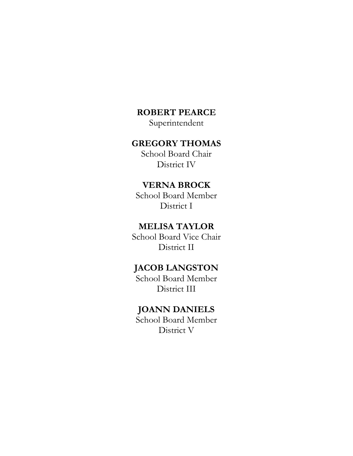## **ROBERT PEARCE**

Superintendent

### **GREGORY THOMAS**

School Board Chair District IV

## **VERNA BROCK**

School Board Member District I

### **MELISA TAYLOR**

School Board Vice Chair District II

## **JACOB LANGSTON**

School Board Member District III

### **JOANN DANIELS**

School Board Member District V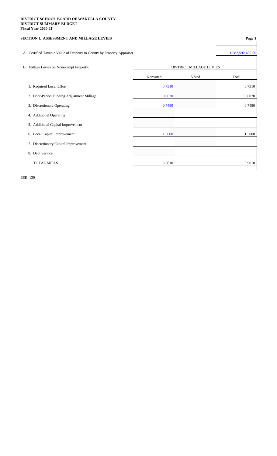#### **DISTRICT SCHOOL BOARD OF WAKULLA COUNTY DISTRICT SUMMARY BUDGET Fiscal Year 2020-21**

| SECTION I. ASSESSMENT AND MILLAGE LEVIES                               |          |                         | Page 1           |
|------------------------------------------------------------------------|----------|-------------------------|------------------|
| A. Certified Taxable Value of Property in County by Property Appraiser |          |                         | 1,582,592,452.00 |
| B. Millage Levies on Nonexempt Property:                               |          | DISTRICT MILLAGE LEVIES |                  |
|                                                                        | Nonvoted | Voted                   | Total            |
| 1. Required Local Effort                                               | 3.7310   |                         | 3.7310           |
| 2. Prior-Period Funding Adjustment Millage                             | 0.0020   |                         | 0.0020           |
| 3. Discretionary Operating                                             | 0.7480   |                         | 0.7480           |
| 4. Additional Operating                                                |          |                         |                  |
| 5. Additional Capital Improvement                                      |          |                         |                  |
| 6. Local Capital Improvement                                           | 1.5000   |                         | 1.5000           |
| 7. Discretionary Capital Improvement                                   |          |                         |                  |
| 8. Debt Service                                                        |          |                         |                  |
| <b>TOTAL MILLS</b>                                                     | 5.9810   |                         | 5.9810           |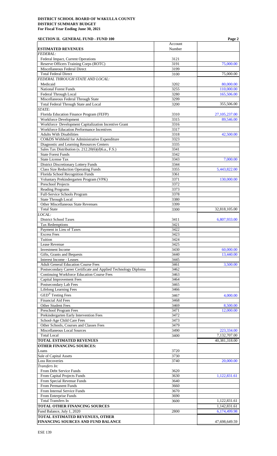| <b>SECTION II. GENERAL FUND - FUND 100</b>                                    |              | Page 2                       |
|-------------------------------------------------------------------------------|--------------|------------------------------|
|                                                                               | Account      |                              |
| <b>ESTIMATED REVENUES</b><br><b>FEDERAL:</b>                                  | Number       |                              |
| Federal Impact, Current Operations                                            | 3121         |                              |
| Reserve Officers Training Corps (ROTC)                                        | 3191         | 75,000.00                    |
| Miscellaneous Federal Direct                                                  | 3199         |                              |
| <b>Total Federal Direct</b>                                                   | 3100         | 75,000.00                    |
| FEDERAL THROUGH STATE AND LOCAL:                                              |              |                              |
| Medicaid<br><b>National Forest Funds</b>                                      | 3202<br>3255 | 80,000.00<br>110,000.00      |
| Federal Through Local                                                         | 3280         | 165,506.00                   |
| Miscellaneous Federal Through State                                           | 3299         |                              |
| Total Federal Through State and Local                                         | 3200         | 355,506.00                   |
| STATE:                                                                        |              |                              |
| Florida Education Finance Program (FEFP)                                      | 3310         | 27, 105, 237.00              |
| <b>Workforce Development</b>                                                  | 3315         | 89,546.00                    |
| Workforce Development Capitalization Incentive Grant                          | 3316         |                              |
| Workforce Education Performance Incentives<br><b>Adults With Disabilities</b> | 3317<br>3318 | 42,500.00                    |
| CO&DS Withheld for Administrative Expenditure                                 | 3323         |                              |
| Diagnostic and Learning Resources Centers                                     | 3335         |                              |
| Sales Tax Distribution (s. 212.20(6)(d)6.a., F.S.)                            | 3341         |                              |
| <b>State Forest Funds</b>                                                     | 3342         |                              |
| State License Tax                                                             | 3343         | 7,000.00                     |
| District Discretionary Lottery Funds                                          | 3344         |                              |
| <b>Class Size Reduction Operating Funds</b>                                   | 3355         | 5,443,822.00                 |
| Florida School Recognition Funds                                              | 3361         |                              |
| Voluntary Prekindergarten Program (VPK)                                       | 3371<br>3372 | 130,000.00                   |
| Preschool Projects<br><b>Reading Programs</b>                                 | 3373         |                              |
| Full-Service Schools Program                                                  | 3378         |                              |
| <b>State Through Local</b>                                                    | 3380         |                              |
| Other Miscellaneous State Revenues                                            | 3399         |                              |
| <b>Total State</b>                                                            | 3300         | 32,818,105.00                |
| LOCAL:                                                                        |              |                              |
| <b>District School Taxes</b>                                                  | 3411         | 6,807,933.00                 |
| <b>Tax Redemptions</b>                                                        | 3421         |                              |
| Payment in Lieu of Taxes<br><b>Excess Fees</b>                                | 3422         |                              |
| Tuition                                                                       | 3423<br>3424 |                              |
| Lease Revenue                                                                 | 3425         |                              |
| Investment Income                                                             | 3430         | 60,000.00                    |
| Gifts, Grants and Bequests                                                    | 3440         | 13,440.00                    |
| Interest Income - Leases                                                      | 3445         |                              |
| <b>Adult General Education Course Fees</b>                                    | 3461         | 3,500.00                     |
| Postsecondary Career Certificate and Applied Technology Diploma               | 3462         |                              |
| Continuing Workforce Education Course Fees                                    | 3463         |                              |
| <b>Capital Improvement Fees</b><br>Postsecondary Lab Fees                     | 3464<br>3465 |                              |
| <b>Lifelong Learning Fees</b>                                                 | 3466         |                              |
| <b>GED®</b> Testing Fees                                                      | 3467         |                              |
| <b>Financial Aid Fees</b>                                                     | 3468         | 4,000.00                     |
| <b>Other Student Fees</b>                                                     | 3469         | 8,500.00                     |
| Preschool Program Fees                                                        | 3471         | 12,000.00                    |
| Prekindergarten Early Intervention Fees                                       | 3472         |                              |
| School-Age Child Care Fees                                                    | 3473         |                              |
| Other Schools, Courses and Classes Fees                                       | 3479         |                              |
| Miscellaneous Local Sources                                                   | 3490         | 223,334.00                   |
| <b>Total Local</b>                                                            | 3400         | 7,132,707.00                 |
| <b>TOTAL ESTIMATED REVENUES</b>                                               |              | 40,381,318.00                |
| <b>OTHER FINANCING SOURCES:</b><br>Loans                                      | 3720         |                              |
| Sale of Capital Assets                                                        | 3730         |                              |
| <b>Loss Recoveries</b>                                                        | 3740         | 20,000.00                    |
| Transfers In:                                                                 |              |                              |
| From Debt Service Funds                                                       | 3620         |                              |
| From Capital Projects Funds                                                   | 3630         | 1,122,831.61                 |
| From Special Revenue Funds                                                    | 3640         |                              |
| From Permanent Funds                                                          | 3660         |                              |
| From Internal Service Funds                                                   | 3670         |                              |
| From Enterprise Funds                                                         | 3690         |                              |
| <b>Total Transfers In</b><br><b>TOTAL OTHER FINANCING SOURCES</b>             | 3600         | 1,122,831.61                 |
| Fund Balance, July 1, 2020                                                    | 2800         | 1,142,831.61<br>6,174,499.98 |
| <b>TOTAL ESTIMATED REVENUES, OTHER</b>                                        |              |                              |
| FINANCING SOURCES AND FUND BALANCE                                            |              | 47,698,649.59                |
|                                                                               |              |                              |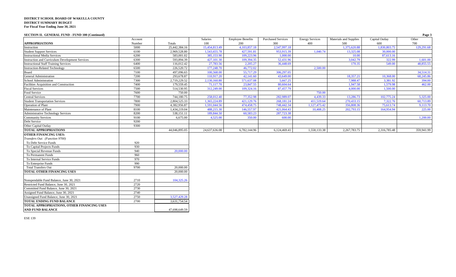| <b>SECTION II. GENERAL FUND - FUND 100 (Continued)</b> |         |               |                 |                          |                           |                        |                        |                | Page 3     |
|--------------------------------------------------------|---------|---------------|-----------------|--------------------------|---------------------------|------------------------|------------------------|----------------|------------|
|                                                        | Account |               | <b>Salaries</b> | <b>Employee Benefits</b> | <b>Purchased Services</b> | <b>Energy Services</b> | Materials and Supplies | Capital Outlay | Other      |
| <b>APPROPRIATIONS</b>                                  | Number  | Totals        | 100             | 200                      | 300                       | 400                    | 500                    | 600            | 700        |
| Instruction                                            | 5000    | 25,442,384.16 | 15,454,813.49   | 4,103,857.18             | 2,547,997.18              |                        | 1,375,620.88           | 1,830,803.75   | 129,291.68 |
| <b>Student Support Services</b>                        | 6100    | 2,969,528.80  | 1,543,655.78    | 427,591.81               | 953,915.39                | 1,040.74               | 13,325.08              | 30,000.00      |            |
| <b>Instructional Media Services</b>                    | 6200    | 583,001.02    | 385,153.90      | 109,223.96               | 1,000.00                  |                        | 10.00                  | 87,613.16      |            |
| <b>Instruction and Curriculum Development Services</b> | 6300    | 593,894.39    | 427,101.30      | 109,394.35               | 52,431.96                 |                        | 3,042.79               | 322.99         | 1,601.00   |
| <b>Instructional Staff Training Services</b>           | 6400    | 116,012.42    | 27,783.56       | 2,205.27                 | 36,448.69                 |                        | 170.35                 | 549.00         | 48,855.55  |
| <b>Instruction-Related Technology</b>                  | 6500    | 226,520.72    | 177,248.70      | 46,772.02                |                           | 2,500.00               |                        |                |            |
| Board                                                  | 7100    | 497,096.65    | 100,568.00      | 55,717.29                | 306,297.05                |                        |                        |                | 34,514.31  |
| <b>General Administration</b>                          | 7200    | 293,678.87    | 110,917.20      | 42,141.60                | 43,649.00                 |                        | 18,357.21              | 10,368.00      | 68,245.86  |
| <b>School Administration</b>                           | 7300    | 2.719.229.52  | 2,130,160.80    | 571,637.08               | 5.667.25                  |                        | 7,988.47               | 3,381.92       | 394.00     |
| Facilities Acquisition and Construction                | 7400    | 179,559.45    | 71,117.70       | 23,847.55                | 80,604.64                 |                        | 1.947.58               | 1,579.98       | 462.00     |
| <b>Fiscal Services</b>                                 | 7500    | 514,530.95    | 312,249.00      | 109,324.16               | 87,457.79                 |                        | 4,000.00               | 1,500.00       |            |
| Food Service                                           | 7600    | 750.00        |                 |                          |                           | 750.00                 |                        |                |            |
| <b>Central Services</b>                                | 7700    | 744,180.75    | 258,012.40      | 77,352.98                | 282,989.07                | 4.439.33               | 13,286.73              | 102,775.24     | 5,325.00   |
| <b>Student Transportation Services</b>                 | 7800    | 2,804,525.33  | 1,365,224.89    | 421,129.76               | 268, 181.24               | 411,519.64             | 270,433.15             | 7,322.76       | 60,713.89  |
| <b>Operation of Plant</b>                              | 7900    | 4,382,956.87  | 1,591,044.56    | 474,458.75               | 748,442.34                | 1,127,475.42           | 356,808.36             | 75,613.74      | 9,113.70   |
| Maintenance of Plant                                   | 8100    | 1,434,219.04  | 488,215.30      | 146,557.97               | 421,064.43                | 10,408.25              | 202,793.15             | 164,954.94     | 225.00     |
| <b>Administrative Technology Services</b>              | 8200    | 538,151.11    | 189,844.50      | 60,583.23                | 287,723.38                |                        |                        |                |            |
| <b>Community Services</b>                              | 9100    | 6,675.00      | 4,525.00        | 350.00                   | 600.00                    |                        |                        |                | 1,200.00   |
| Debt Service                                           | 9200    |               |                 |                          |                           |                        |                        |                |            |
| Other Capital Outlay                                   | 9300    |               |                 |                          |                           |                        |                        |                |            |
| <b>TOTAL APPROPRIATIONS</b>                            |         | 44,046,895.05 | 24,637,636.08   | 6,782,144.96             | 6,124,469.41              | 1,558,133.38           | 2,267,783.75           | 2,316,785.48   | 359,941.99 |
| <b>OTHER FINANCING USES:</b>                           |         |               |                 |                          |                           |                        |                        |                |            |
| Transfers Out: (Function 9700)                         |         |               |                 |                          |                           |                        |                        |                |            |
| To Debt Service Funds                                  | 920     |               |                 |                          |                           |                        |                        |                |            |
| To Capital Projects Funds                              | 930     |               |                 |                          |                           |                        |                        |                |            |
| To Special Revenue Funds                               | 940     | 20,000.00     |                 |                          |                           |                        |                        |                |            |
| To Permanent Funds                                     | 960     |               |                 |                          |                           |                        |                        |                |            |
| To Internal Service Funds                              | 970     |               |                 |                          |                           |                        |                        |                |            |
| To Enterprise Funds                                    | 990     |               |                 |                          |                           |                        |                        |                |            |
| <b>Total Transfers Out</b>                             | 9700    | 20,000.00     |                 |                          |                           |                        |                        |                |            |
| <b>TOTAL OTHER FINANCING USES</b>                      |         | 20,000.00     |                 |                          |                           |                        |                        |                |            |
|                                                        |         |               |                 |                          |                           |                        |                        |                |            |
| Nonspendable Fund Balance, June 30, 2021               | 2710    | 104,325.26    |                 |                          |                           |                        |                        |                |            |
| Restricted Fund Balance, June 30, 2021                 | 2720    |               |                 |                          |                           |                        |                        |                |            |
| Committed Fund Balance, June 30, 2021                  | 2730    |               |                 |                          |                           |                        |                        |                |            |
| Assigned Fund Balance, June 30, 2021                   | 2740    |               |                 |                          |                           |                        |                        |                |            |
| Unassigned Fund Balance, June 30, 2021                 | 2750    | 3,527,429.28  |                 |                          |                           |                        |                        |                |            |
| <b>TOTAL ENDING FUND BALANCE</b>                       | 2700    | 3,631,754.54  |                 |                          |                           |                        |                        |                |            |
| TOTAL APPROPRIATIONS, OTHER FINANCING USES             |         |               |                 |                          |                           |                        |                        |                |            |

47,698,649.59

ESE 139

**AND FUND BALANCE**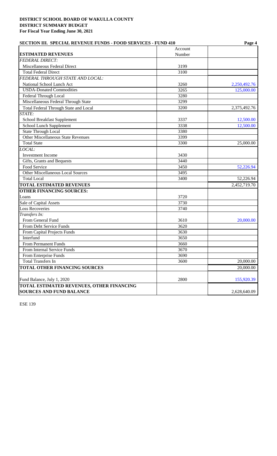| <b>SECTION III. SPECIAL REVENUE FUNDS - FOOD SERVICES - FUND 410</b> | Page 4  |              |  |
|----------------------------------------------------------------------|---------|--------------|--|
|                                                                      | Account |              |  |
| <b>ESTIMATED REVENUES</b>                                            | Number  |              |  |
| <b>FEDERAL DIRECT:</b>                                               |         |              |  |
| Miscellaneous Federal Direct                                         | 3199    |              |  |
| <b>Total Federal Direct</b>                                          | 3100    |              |  |
| FEDERAL THROUGH STATE AND LOCAL:                                     |         |              |  |
| National School Lunch Act                                            | 3260    | 2,250,492.76 |  |
| <b>USDA-Donated Commodities</b>                                      | 3265    | 125,000.00   |  |
| Federal Through Local                                                | 3280    |              |  |
| Miscellaneous Federal Through State                                  | 3299    |              |  |
| Total Federal Through State and Local                                | 3200    | 2,375,492.76 |  |
| STATE:                                                               |         |              |  |
| School Breakfast Supplement                                          | 3337    | 12,500.00    |  |
| School Lunch Supplement                                              | 3338    | 12,500.00    |  |
| <b>State Through Local</b>                                           | 3380    |              |  |
| <b>Other Miscellaneous State Revenues</b>                            | 3399    |              |  |
| <b>Total State</b>                                                   | 3300    | 25,000.00    |  |
| LOCAL:                                                               |         |              |  |
| Investment Income                                                    | 3430    |              |  |
| Gifts, Grants and Bequests                                           | 3440    |              |  |
| Food Service                                                         | 3450    | 52,226.94    |  |
| Other Miscellaneous Local Sources                                    | 3495    |              |  |
| <b>Total Local</b>                                                   | 3400    | 52,226.94    |  |
| <b>TOTAL ESTIMATED REVENUES</b>                                      |         | 2,452,719.70 |  |
| <b>OTHER FINANCING SOURCES:</b>                                      |         |              |  |
| Loans                                                                | 3720    |              |  |
| Sale of Capital Assets                                               | 3730    |              |  |
| <b>Loss Recoveries</b>                                               | 3740    |              |  |
| Transfers In:                                                        |         |              |  |
| From General Fund                                                    | 3610    | 20,000.00    |  |
| From Debt Service Funds                                              | 3620    |              |  |
| From Capital Projects Funds                                          | 3630    |              |  |
| Interfund                                                            | 3650    |              |  |
| From Permanent Funds                                                 | 3660    |              |  |
| From Internal Service Funds                                          | 3670    |              |  |
| From Enterprise Funds                                                | 3690    |              |  |
| <b>Total Transfers In</b>                                            | 3600    | 20,000.00    |  |
| TOTAL OTHER FINANCING SOURCES                                        |         | 20,000.00    |  |
| Fund Balance, July 1, 2020                                           | 2800    | 155,920.39   |  |
| <b>TOTAL ESTIMATED REVENUES, OTHER FINANCING</b>                     |         |              |  |
| <b>SOURCES AND FUND BALANCE</b>                                      |         | 2,628,640.09 |  |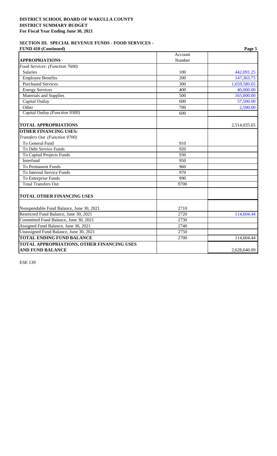#### **SECTION III. SPECIAL REVENUE FUNDS - FOOD SERVICES - FUND 410 (Continued) Page 5**

| r UND 710 (Conditional)                    |                  | 1 agu J      |
|--------------------------------------------|------------------|--------------|
|                                            | Account          |              |
| <b>APPROPRIATIONS</b>                      | Number           |              |
| Food Services: (Function 7600)             |                  |              |
| <b>Salaries</b>                            | 100              | 442,091.25   |
| <b>Employee Benefits</b>                   | $\overline{200}$ | 147,363.75   |
| <b>Purchased Services</b>                  | 300              | 1,659,580.65 |
| <b>Energy Services</b>                     | 400              | 40,000.00    |
| Materials and Supplies                     | 500              | 165,000.00   |
| Capital Outlay                             | 600              | 57,500.00    |
| Other                                      | 700              | 2,500.00     |
| Capital Outlay (Function 9300)             | 600              |              |
| <b>TOTAL APPROPRIATIONS</b>                |                  | 2,514,035.65 |
| <b>OTHER FINANCING USES:</b>               |                  |              |
| Transfers Out (Function 9700)              |                  |              |
| To General Fund                            | 910              |              |
| To Debt Service Funds                      | 920              |              |
| To Capital Projects Funds                  | 930              |              |
| Interfund                                  | 950              |              |
| <b>To Permanent Funds</b>                  | 960              |              |
| To Internal Service Funds                  | 970              |              |
| To Enterprise Funds                        | 990              |              |
| <b>Total Transfers Out</b>                 | 9700             |              |
| <b>TOTAL OTHER FINANCING USES</b>          |                  |              |
| Nonspendable Fund Balance, June 30, 2021   | 2710             |              |
| Restricted Fund Balance, June 30, 2021     | 2720             | 114,604.44   |
| Committed Fund Balance, June 30, 2021      | 2730             |              |
| Assigned Fund Balance, June 30, 2021       | 2740             |              |
| Unassigned Fund Balance, June 30, 2021     | 2750             |              |
| <b>TOTAL ENDING FUND BALANCE</b>           | 2700             | 114,604.44   |
| TOTAL APPROPRIATIONS, OTHER FINANCING USES |                  |              |
| <b>AND FUND BALANCE</b>                    |                  | 2,628,640.09 |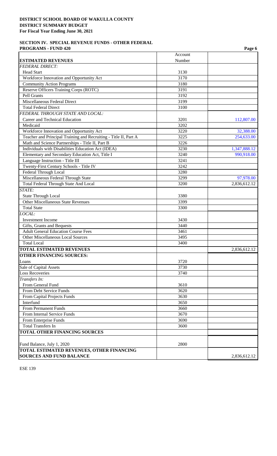#### **SECTION IV. SPECIAL REVENUE FUNDS - OTHER FEDERAL PROGRAMS - FUND 420** Page 6 **Page 6**

|                                                                  |                   | r agu v      |
|------------------------------------------------------------------|-------------------|--------------|
| <b>ESTIMATED REVENUES</b>                                        | Account<br>Number |              |
| <b>FEDERAL DIRECT:</b>                                           |                   |              |
| <b>Head Start</b>                                                | 3130              |              |
| Workforce Innovation and Opportunity Act                         | 3170              |              |
| <b>Community Action Programs</b>                                 | 3180              |              |
| Reserve Officers Training Corps (ROTC)                           | 3191              |              |
| Pell Grants                                                      | 3192              |              |
| Miscellaneous Federal Direct                                     | 3199              |              |
| <b>Total Federal Direct</b>                                      | 3100              |              |
| FEDERAL THROUGH STATE AND LOCAL:                                 |                   |              |
| Career and Technical Education                                   | 3201              | 112,807.00   |
| Medicaid                                                         | 3202              |              |
| Workforce Innovation and Opportunity Act                         | 3220              | 32,388.00    |
| Teacher and Principal Training and Recruiting - Title II, Part A | 3225              | 254,633.00   |
| Math and Science Partnerships - Title II, Part B                 | 3226              |              |
| Individuals with Disabilities Education Act (IDEA)               | 3230              | 1,347,888.12 |
| Elementary and Secondary Education Act, Title I                  | 3240              | 990,918.00   |
| Language Instruction - Title III                                 | 3241              |              |
| Twenty-First Century Schools - Title IV                          | 3242              |              |
| Federal Through Local                                            | 3280              |              |
| Miscellaneous Federal Through State                              | 3299              | 97,978.00    |
| <b>Total Federal Through State And Local</b>                     | 3200              | 2,836,612.12 |
| STATE:                                                           |                   |              |
| <b>State Through Local</b>                                       | 3380              |              |
| Other Miscellaneous State Revenues                               | 3399              |              |
| <b>Total State</b>                                               | 3300              |              |
| LOCAL:                                                           |                   |              |
| Investment Income                                                | 3430              |              |
| Gifts, Grants and Bequests                                       | 3440              |              |
| <b>Adult General Education Course Fees</b>                       | 3461              |              |
| Other Miscellaneous Local Sources                                | 3495              |              |
| <b>Total Local</b>                                               | 3400              |              |
| <b>TOTAL ESTIMATED REVENUES</b>                                  |                   |              |
|                                                                  |                   | 2,836,612.12 |
| <b>OTHER FINANCING SOURCES:</b>                                  |                   |              |
| Loans                                                            | 3720              |              |
| Sale of Capital Assets                                           | 3730              |              |
| <b>Loss Recoveries</b>                                           | 3740              |              |
| Transfers In:                                                    |                   |              |
| From General Fund                                                | 3610              |              |
| From Debt Service Funds                                          | 3620              |              |
| From Capital Projects Funds                                      | 3630              |              |
| Interfund                                                        | 3650              |              |
| From Permanent Funds                                             | 3660              |              |
| From Internal Service Funds                                      | 3670              |              |
| From Enterprise Funds                                            | 3690              |              |
| <b>Total Transfers In</b>                                        | 3600              |              |
| TOTAL OTHER FINANCING SOURCES                                    |                   |              |
| Fund Balance, July 1, 2020                                       | 2800              |              |
| TOTAL ESTIMATED REVENUES, OTHER FINANCING                        |                   |              |
| <b>SOURCES AND FUND BALANCE</b>                                  |                   | 2,836,612.12 |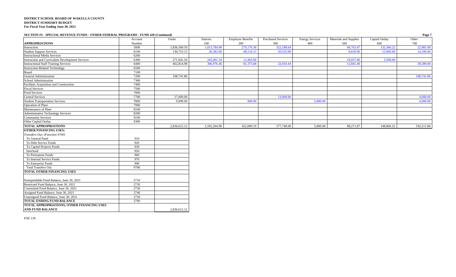#### **SECTION IV. SPECIAL REVENUE FUNDS - OTHER FEDERAL PROGRAMS - FUND 420 (Continued) Page 7**

|                                                        | Account | Totals       | Salaries     | <b>Employee Benefits</b> | <b>Purchased Services</b> | <b>Energy Services</b> | Materials and Supplies | Capital Outlay | Other      |
|--------------------------------------------------------|---------|--------------|--------------|--------------------------|---------------------------|------------------------|------------------------|----------------|------------|
| <b>APPROPRIATIONS</b>                                  | Number  |              | 100          | 200                      | 300                       | 400                    | 500                    | 600            | 700        |
| Instruction                                            | 5000    | 1,836,360.59 | 1,013,784.90 | 279,176.36               | 322,188.64                |                        | 66,763.47              | 132,366.22     | 22,081.00  |
| <b>Student Support Services</b>                        | 6100    | 130,753.15   | 26,382.00    | 48,116.15                | 20,525.00                 |                        | 8,630.00               | 13,000.00      | 14,100.00  |
| <b>Instructional Media Services</b>                    | 6200    |              |              |                          |                           |                        |                        |                |            |
| <b>Instruction and Curriculum Development Services</b> | 6300    | 271,041.54   | 245,061.54   | 12,443.00                |                           |                        | 10,037.00              | 3,500.00       |            |
| <b>Instructional Staff Training Services</b>           | 6400    | 462,814.98   | 306,976.46   | 81,373.68                | 22,034.44                 |                        | 12,841.40              |                | 39,589.00  |
| <b>Instruction-Related Technology</b>                  | 6500    |              |              |                          |                           |                        |                        |                |            |
|                                                        | 7100    |              |              |                          |                           |                        |                        |                |            |
| Board<br>General Administration                        | 7200    | 108,741.86   |              |                          |                           |                        |                        |                | 108,741.86 |
| School Administration                                  | 7300    |              |              |                          |                           |                        |                        |                |            |
| Facilities Acquisition and Construction                | 7400    |              |              |                          |                           |                        |                        |                |            |
| <b>Fiscal Services</b>                                 | 7500    |              |              |                          |                           |                        |                        |                |            |
| Food Services                                          | 7600    |              |              |                          |                           |                        |                        |                |            |
| <b>Central Services</b>                                | 7700    | 17,000.00    |              |                          | 13,000.00                 |                        |                        |                | 4,000.00   |
| <b>Student Transportation Services</b>                 | 7800    | 9,900.00     |              | 900.00                   |                           | 5,000.00               |                        |                | 4,000.00   |
| <b>Operation</b> of Plant                              | 7900    |              |              |                          |                           |                        |                        |                |            |
| Maintenance of Plant                                   | 8100    |              |              |                          |                           |                        |                        |                |            |
| <b>Administrative Technology Services</b>              | 8200    |              |              |                          |                           |                        |                        |                |            |
| <b>Community Services</b>                              | 9100    |              |              |                          |                           |                        |                        |                |            |
| Other Capital Outlay                                   | 9300    |              |              |                          |                           |                        |                        |                |            |
| <b>TOTAL APPROPRIATIONS</b>                            |         | 2,836,612.12 | 1,592,204.90 | 422,009.19               | 377,748.08                | 5,000.00               | 98,271.87              | 148,866.22     | 192,511.86 |
| <b>OTHER FINANCING USES:</b>                           |         |              |              |                          |                           |                        |                        |                |            |
| Transfers Out: (Function 9700)                         |         |              |              |                          |                           |                        |                        |                |            |
| To General Fund                                        | 910     |              |              |                          |                           |                        |                        |                |            |
| To Debt Service Funds                                  | 920     |              |              |                          |                           |                        |                        |                |            |
| To Capital Projects Funds                              | 930     |              |              |                          |                           |                        |                        |                |            |
| Interfund                                              | 950     |              |              |                          |                           |                        |                        |                |            |
| To Permanent Funds                                     | 960     |              |              |                          |                           |                        |                        |                |            |
| To Internal Service Funds                              | 970     |              |              |                          |                           |                        |                        |                |            |
| To Enterprise Funds                                    | 990     |              |              |                          |                           |                        |                        |                |            |
| <b>Total Transfers Out</b>                             | 9700    |              |              |                          |                           |                        |                        |                |            |
| <b>TOTAL OTHER FINANCING USES</b>                      |         |              |              |                          |                           |                        |                        |                |            |
|                                                        |         |              |              |                          |                           |                        |                        |                |            |
| Nonspendable Fund Balance, June 30, 2021               | 2710    |              |              |                          |                           |                        |                        |                |            |
| Restricted Fund Balance, June 30, 2021                 | 2720    |              |              |                          |                           |                        |                        |                |            |
| Committed Fund Balance, June 30, 2021                  | 2730    |              |              |                          |                           |                        |                        |                |            |
| Assigned Fund Balance, June 30, 2021                   | 2740    |              |              |                          |                           |                        |                        |                |            |
| Unassigned Fund Balance, June 30, 2021                 | 2750    |              |              |                          |                           |                        |                        |                |            |
| <b>TOTAL ENDING FUND BALANCE</b>                       | 2700    |              |              |                          |                           |                        |                        |                |            |
| TOTAL APPROPRIATIONS, OTHER FINANCING USES             |         |              |              |                          |                           |                        |                        |                |            |
| <b>AND FUND BALANCE</b>                                |         | 2,836,612.12 |              |                          |                           |                        |                        |                |            |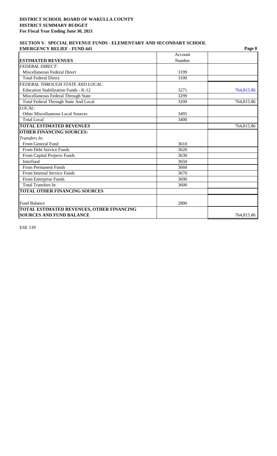#### **SECTION V. SPECIAL REVENUE FUNDS - ELEMENTARY AND SECONDARY SCHOOL EMERGENCY RELIEF - FUND 441**

| <b>EMERGENCY RELIEF - FUND 441</b>        |         | Page 8     |
|-------------------------------------------|---------|------------|
|                                           | Account |            |
| <b>ESTIMATED REVENUES</b>                 | Number  |            |
| <b>FEDERAL DIRECT:</b>                    |         |            |
| Miscellaneous Federal Direct              | 3199    |            |
| <b>Total Federal Direct</b>               | 3100    |            |
| FEDERAL THROUGH STATE AND LOCAL:          |         |            |
| Education Stabilization Funds - K-12      | 3271    | 764,815.86 |
| Miscellaneous Federal Through State       | 3299    |            |
| Total Federal Through State And Local     | 3200    | 764,815.86 |
| LOCAL:                                    |         |            |
| Other Miscellaneous Local Sources         | 3495    |            |
| <b>Total Local</b>                        | 3400    |            |
| <b>TOTAL ESTIMATED REVENUES</b>           |         | 764,815.86 |
| <b>OTHER FINANCING SOURCES:</b>           |         |            |
| Transfers In:                             |         |            |
| From General Fund                         | 3610    |            |
| From Debt Service Funds                   | 3620    |            |
| From Capital Projects Funds               | 3630    |            |
| Interfund                                 | 3650    |            |
| <b>From Permanent Funds</b>               | 3660    |            |
| <b>From Internal Service Funds</b>        | 3670    |            |
| From Enterprise Funds                     | 3690    |            |
| <b>Total Transfers In</b>                 | 3600    |            |
| <b>TOTAL OTHER FINANCING SOURCES</b>      |         |            |
|                                           |         |            |
| <b>Fund Balance</b>                       | 2800    |            |
| TOTAL ESTIMATED REVENUES, OTHER FINANCING |         |            |
| <b>SOURCES AND FUND BALANCE</b>           |         | 764,815.86 |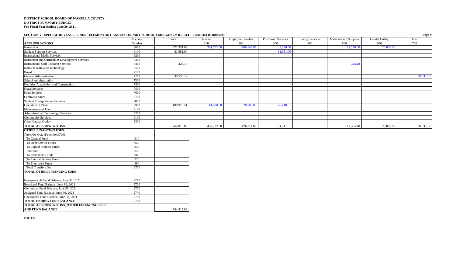#### **SECTION V. SPECIAL REVENUE FUNDS - ELEMENTARY AND SECONDARY SCHOOL EMERGENCY RELIEF - FUND 441 (Continued) Page 9**

| DECTION 1. DI ECIAL RETENCE FONDS - ELEMENTARI AND DECONDARI SCHOOL EMERGENCI RELIEF - FOND 441 (COMMUNI) | Account | Totals     | Salaries   | <b>Employee Benefits</b> | <b>Purchased Services</b> | <b>Energy Services</b> | Materials and Supplies | Capital Outlay | n agus<br>Other |
|-----------------------------------------------------------------------------------------------------------|---------|------------|------------|--------------------------|---------------------------|------------------------|------------------------|----------------|-----------------|
| <b>APPROPRIATIONS</b>                                                                                     | Number  |            | 100        | 200                      | 300                       | 400                    | 500                    | 600            | 700             |
| Instruction                                                                                               | 5000    | 471,331.05 | 324,702.00 | 106,149.05               | 3,250.00                  |                        | 17,230.00              | 20,000.00      |                 |
| <b>Student Support Services</b>                                                                           | 6100    | 81,651.00  |            |                          | 81,651.00                 |                        |                        |                |                 |
| <b>Instructional Media Services</b>                                                                       | 6200    |            |            |                          |                           |                        |                        |                |                 |
| <b>Instruction and Curriculum Development Services</b>                                                    | 6300    |            |            |                          |                           |                        |                        |                |                 |
| <b>Instructional Staff Training Services</b>                                                              | 6400    | 325.18     |            |                          |                           |                        | 325.18                 |                |                 |
| <b>Instruction-Related Technology</b>                                                                     | 6500    |            |            |                          |                           |                        |                        |                |                 |
| Board                                                                                                     | 7100    |            |            |                          |                           |                        |                        |                |                 |
| General Administration                                                                                    | 7200    | 30,533.12  |            |                          |                           |                        |                        |                | 30,533.12       |
| School Administration                                                                                     | 7300    |            |            |                          |                           |                        |                        |                |                 |
| Facilities Acquisition and Construction                                                                   | 7400    |            |            |                          |                           |                        |                        |                |                 |
| <b>Fiscal Services</b>                                                                                    | 7500    |            |            |                          |                           |                        |                        |                |                 |
| Food Services                                                                                             | 7600    |            |            |                          |                           |                        |                        |                |                 |
| <b>Central Services</b>                                                                                   | 7700    |            |            |                          |                           |                        |                        |                |                 |
| <b>Student Transportation Services</b>                                                                    | 7800    |            |            |                          |                           |                        |                        |                |                 |
| Operation of Plant                                                                                        | 7900    | 180,975.51 | 114,000.00 | 20,565.00                | 46,410.51                 |                        |                        |                |                 |
| Maintenance of Plant                                                                                      | 8100    |            |            |                          |                           |                        |                        |                |                 |
| <b>Administrative Technology Services</b>                                                                 | 8200    |            |            |                          |                           |                        |                        |                |                 |
| <b>Community Services</b>                                                                                 | 9100    |            |            |                          |                           |                        |                        |                |                 |
| Other Capital Outlay                                                                                      | 9300    |            |            |                          |                           |                        |                        |                |                 |
| <b>TOTAL APPROPRIATIONS</b>                                                                               |         | 764,815.86 | 438,702.00 | 126,714.05               | 131,311.51                |                        | 17,555.18              | 20,000.00      | 30,533.12       |
| <b>OTHER FINANCING USES:</b>                                                                              |         |            |            |                          |                           |                        |                        |                |                 |
| Transfers Out: (Function 9700)                                                                            |         |            |            |                          |                           |                        |                        |                |                 |
| To General Fund                                                                                           | 910     |            |            |                          |                           |                        |                        |                |                 |
| To Debt Service Funds                                                                                     | 920     |            |            |                          |                           |                        |                        |                |                 |
| To Capital Projects Funds                                                                                 | 930     |            |            |                          |                           |                        |                        |                |                 |
| Interfund                                                                                                 | 950     |            |            |                          |                           |                        |                        |                |                 |
| To Permanent Funds                                                                                        | 960     |            |            |                          |                           |                        |                        |                |                 |
| To Internal Service Funds                                                                                 | 970     |            |            |                          |                           |                        |                        |                |                 |
| To Enterprise Funds                                                                                       | 990     |            |            |                          |                           |                        |                        |                |                 |
| <b>Total Transfers Out</b>                                                                                | 9700    |            |            |                          |                           |                        |                        |                |                 |
| TOTAL OTHER FINANCING USES                                                                                |         |            |            |                          |                           |                        |                        |                |                 |
|                                                                                                           |         |            |            |                          |                           |                        |                        |                |                 |
| Nonspendable Fund Balance, June 30, 2021                                                                  | 2710    |            |            |                          |                           |                        |                        |                |                 |
| Restricted Fund Balance, June 30, 2021                                                                    | 2720    |            |            |                          |                           |                        |                        |                |                 |
| Committed Fund Balance, June 30, 2021                                                                     | 2730    |            |            |                          |                           |                        |                        |                |                 |
| Assigned Fund Balance, June 30, 2021                                                                      | 2740    |            |            |                          |                           |                        |                        |                |                 |
| Unassigned Fund Balance, June 30, 2021                                                                    | 2750    |            |            |                          |                           |                        |                        |                |                 |
| <b>TOTAL ENDING FUND BALANCE</b>                                                                          | 2700    |            |            |                          |                           |                        |                        |                |                 |
| TOTAL APPROPRIATIONS, OTHER FINANCING USES                                                                |         |            |            |                          |                           |                        |                        |                |                 |
| AND FUND BALANCE                                                                                          |         | 764,815.86 |            |                          |                           |                        |                        |                |                 |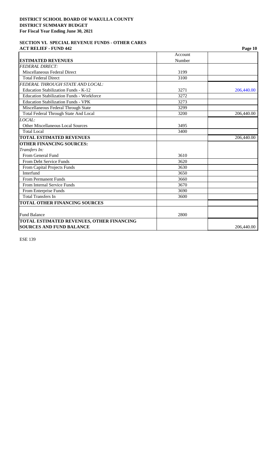### **SECTION VI. SPECIAL REVENUE FUNDS - OTHER CARES ACT RELIEF - FUND 442** Page 10

|                                                  | Account | o          |
|--------------------------------------------------|---------|------------|
| <b>ESTIMATED REVENUES</b>                        | Number  |            |
| <b>FEDERAL DIRECT:</b>                           |         |            |
| Miscellaneous Federal Direct                     | 3199    |            |
| <b>Total Federal Direct</b>                      | 3100    |            |
| FEDERAL THROUGH STATE AND LOCAL:                 |         |            |
| Education Stabilization Funds - K-12             | 3271    | 206,440.00 |
| <b>Education Stabilization Funds - Workforce</b> | 3272    |            |
| <b>Education Stabilization Funds - VPK</b>       | 3273    |            |
| Miscellaneous Federal Through State              | 3299    |            |
| <b>Total Federal Through State And Local</b>     | 3200    | 206,440.00 |
| LOCAL:                                           |         |            |
| <b>Other Miscellaneous Local Sources</b>         | 3495    |            |
| <b>Total Local</b>                               | 3400    |            |
| <b>TOTAL ESTIMATED REVENUES</b>                  |         | 206,440.00 |
| <b>OTHER FINANCING SOURCES:</b>                  |         |            |
| Transfers In:                                    |         |            |
| From General Fund                                | 3610    |            |
| <b>From Debt Service Funds</b>                   | 3620    |            |
| From Capital Projects Funds                      | 3630    |            |
| Interfund                                        | 3650    |            |
| <b>From Permanent Funds</b>                      | 3660    |            |
| From Internal Service Funds                      | 3670    |            |
| From Enterprise Funds                            | 3690    |            |
| <b>Total Transfers In</b>                        | 3600    |            |
| <b>TOTAL OTHER FINANCING SOURCES</b>             |         |            |
|                                                  |         |            |
| <b>Fund Balance</b>                              | 2800    |            |
| TOTAL ESTIMATED REVENUES, OTHER FINANCING        |         |            |
| <b>SOURCES AND FUND BALANCE</b>                  |         | 206,440.00 |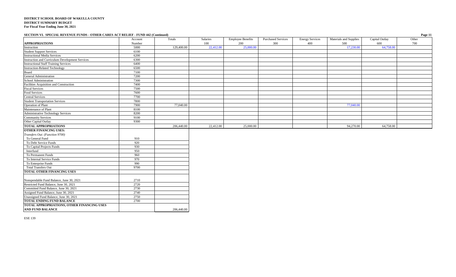#### **SECTION VI. SPECIAL REVENUE FUNDS - OTHER CARES ACT RELIEF - FUND 442 (Continued) Page 11**

|                                                                               | Account | Totals     | Salaries  | <b>Employee Benefits</b> | <b>Purchased Services</b> | <b>Energy Services</b> | Materials and Supplies | Capital Outlay | Other |
|-------------------------------------------------------------------------------|---------|------------|-----------|--------------------------|---------------------------|------------------------|------------------------|----------------|-------|
| <b>APPROPRIATIONS</b>                                                         | Number  |            | 100       | 200                      | 300                       | 400                    | 500                    | 600            | 700   |
| Instruction                                                                   | 5000    | 129,400.00 | 22,412.00 | 25,000.00                |                           |                        | 17,230.00              | 64,758.00      |       |
| <b>Student Support Services</b>                                               | 6100    |            |           |                          |                           |                        |                        |                |       |
| <b>Instructional Media Services</b>                                           | 6200    |            |           |                          |                           |                        |                        |                |       |
| <b>Instruction and Curriculum Development Services</b>                        | 6300    |            |           |                          |                           |                        |                        |                |       |
| <b>Instructional Staff Training Services</b>                                  | 6400    |            |           |                          |                           |                        |                        |                |       |
| <b>Instruction-Related Technology</b>                                         | 6500    |            |           |                          |                           |                        |                        |                |       |
|                                                                               | 7100    |            |           |                          |                           |                        |                        |                |       |
| Board<br>General Administration                                               | 7200    |            |           |                          |                           |                        |                        |                |       |
| School Administration                                                         | 7300    |            |           |                          |                           |                        |                        |                |       |
| Facilities Acquisition and Construction                                       | 7400    |            |           |                          |                           |                        |                        |                |       |
| <b>Fiscal Services</b>                                                        | 7500    |            |           |                          |                           |                        |                        |                |       |
| Food Services                                                                 | 7600    |            |           |                          |                           |                        |                        |                |       |
| Central Services                                                              | 7700    |            |           |                          |                           |                        |                        |                |       |
| <b>Student Transportation Services</b>                                        | 7800    |            |           |                          |                           |                        |                        |                |       |
| <b>Operation of Plant</b>                                                     | 7900    | 77,040.00  |           |                          |                           |                        | 77,040.00              |                |       |
| Maintenance of Plant                                                          | 8100    |            |           |                          |                           |                        |                        |                |       |
| Administrative Technology Services                                            | 8200    |            |           |                          |                           |                        |                        |                |       |
| <b>Community Services</b>                                                     | 9100    |            |           |                          |                           |                        |                        |                |       |
| Other Capital Outlay                                                          | 9300    |            |           |                          |                           |                        |                        |                |       |
| <b>TOTAL APPROPRIATIONS</b>                                                   |         | 206,440.00 | 22,412.00 | 25,000.00                |                           |                        | 94,270.00              | 64,758.00      |       |
| <b>OTHER FINANCING USES:</b>                                                  |         |            |           |                          |                           |                        |                        |                |       |
| Transfers Out: (Function 9700)                                                |         |            |           |                          |                           |                        |                        |                |       |
| To General Fund                                                               | 910     |            |           |                          |                           |                        |                        |                |       |
| To Debt Service Funds                                                         | 920     |            |           |                          |                           |                        |                        |                |       |
| To Capital Projects Funds                                                     | 930     |            |           |                          |                           |                        |                        |                |       |
| Interfund                                                                     |         |            |           |                          |                           |                        |                        |                |       |
|                                                                               | 950     |            |           |                          |                           |                        |                        |                |       |
| To Permanent Funds                                                            | 960     |            |           |                          |                           |                        |                        |                |       |
| To Internal Service Funds                                                     | 970     |            |           |                          |                           |                        |                        |                |       |
| To Enterprise Funds                                                           | 990     |            |           |                          |                           |                        |                        |                |       |
| <b>Total Transfers Out</b>                                                    | 9700    |            |           |                          |                           |                        |                        |                |       |
| <b>TOTAL OTHER FINANCING USES</b>                                             |         |            |           |                          |                           |                        |                        |                |       |
|                                                                               |         |            |           |                          |                           |                        |                        |                |       |
| Nonspendable Fund Balance, June 30, 2021                                      | 2710    |            |           |                          |                           |                        |                        |                |       |
| Restricted Fund Balance, June 30, 2021                                        | 2720    |            |           |                          |                           |                        |                        |                |       |
|                                                                               | 2730    |            |           |                          |                           |                        |                        |                |       |
| Committed Fund Balance, June 30, 2021<br>Assigned Fund Balance, June 30, 2021 | 2740    |            |           |                          |                           |                        |                        |                |       |
| Unassigned Fund Balance, June 30, 2021                                        | 2750    |            |           |                          |                           |                        |                        |                |       |
| <b>TOTAL ENDING FUND BALANCE</b>                                              | 2700    |            |           |                          |                           |                        |                        |                |       |
| TOTAL APPROPRIATIONS, OTHER FINANCING USES                                    |         |            |           |                          |                           |                        |                        |                |       |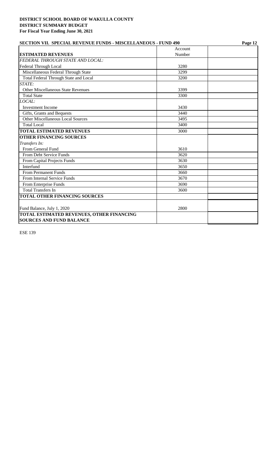| <b>SECTION VII. SPECIAL REVENUE FUNDS - MISCELLANEOUS - FUND 490</b>                |         | Page 12 |  |
|-------------------------------------------------------------------------------------|---------|---------|--|
|                                                                                     | Account |         |  |
| <b>ESTIMATED REVENUES</b>                                                           | Number  |         |  |
| FEDERAL THROUGH STATE AND LOCAL:                                                    |         |         |  |
| Federal Through Local                                                               | 3280    |         |  |
| Miscellaneous Federal Through State                                                 | 3299    |         |  |
| Total Federal Through State and Local                                               | 3200    |         |  |
| STATE:                                                                              |         |         |  |
| <b>Other Miscellaneous State Revenues</b>                                           | 3399    |         |  |
| <b>Total State</b>                                                                  | 3300    |         |  |
| LOCAL:                                                                              |         |         |  |
| <b>Investment Income</b>                                                            | 3430    |         |  |
| Gifts, Grants and Bequests                                                          | 3440    |         |  |
| <b>Other Miscellaneous Local Sources</b>                                            | 3495    |         |  |
| <b>Total Local</b>                                                                  | 3400    |         |  |
| <b>TOTAL ESTIMATED REVENUES</b>                                                     | 3000    |         |  |
| <b>OTHER FINANCING SOURCES</b>                                                      |         |         |  |
| Transfers In:                                                                       |         |         |  |
| From General Fund                                                                   | 3610    |         |  |
| From Debt Service Funds                                                             | 3620    |         |  |
| From Capital Projects Funds                                                         | 3630    |         |  |
| Interfund                                                                           | 3650    |         |  |
| <b>From Permanent Funds</b>                                                         | 3660    |         |  |
| From Internal Service Funds                                                         | 3670    |         |  |
| From Enterprise Funds                                                               | 3690    |         |  |
| <b>Total Transfers In</b>                                                           | 3600    |         |  |
| <b>TOTAL OTHER FINANCING SOURCES</b>                                                |         |         |  |
| Fund Balance, July 1, 2020                                                          | 2800    |         |  |
| <b>TOTAL ESTIMATED REVENUES, OTHER FINANCING</b><br><b>SOURCES AND FUND BALANCE</b> |         |         |  |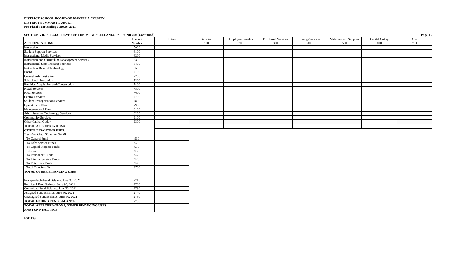**SECTION VII. SPECIAL REVENUE FUNDS - MISCELLANEOUS - FUND 490 (Continued) Page 13**

|                                                                       | Account | Totals | Salaries | <b>Employee Benefits</b> | <b>Purchased Services</b> | <b>Energy Services</b> | Materials and Supplies | Capital Outlay | Other |
|-----------------------------------------------------------------------|---------|--------|----------|--------------------------|---------------------------|------------------------|------------------------|----------------|-------|
| <b>APPROPRIATIONS</b>                                                 | Number  |        | 100      | 200                      | 300                       | 400                    | 500                    | 600            | 700   |
| Instruction                                                           | 5000    |        |          |                          |                           |                        |                        |                |       |
| <b>Student Support Services<br/>Instructional Media Services</b>      | 6100    |        |          |                          |                           |                        |                        |                |       |
|                                                                       | 6200    |        |          |                          |                           |                        |                        |                |       |
| <b>Instruction and Curriculum Development Services</b>                | 6300    |        |          |                          |                           |                        |                        |                |       |
| <b>Instructional Staff Training Services</b>                          | 6400    |        |          |                          |                           |                        |                        |                |       |
| <b>Instruction-Related Technology</b>                                 | 6500    |        |          |                          |                           |                        |                        |                |       |
| Board<br>General Administration                                       | 7100    |        |          |                          |                           |                        |                        |                |       |
|                                                                       | 7200    |        |          |                          |                           |                        |                        |                |       |
| School Administration                                                 | 7300    |        |          |                          |                           |                        |                        |                |       |
| Facilities Acquisition and Construction                               | 7400    |        |          |                          |                           |                        |                        |                |       |
| <b>Fiscal Services</b>                                                | 7500    |        |          |                          |                           |                        |                        |                |       |
| <b>Food Services</b>                                                  | 7600    |        |          |                          |                           |                        |                        |                |       |
| <b>Central Services</b>                                               | 7700    |        |          |                          |                           |                        |                        |                |       |
| <b>Student Transportation Services</b>                                | 7800    |        |          |                          |                           |                        |                        |                |       |
| Operation of Plant<br>Maintenance of Plant                            | 7900    |        |          |                          |                           |                        |                        |                |       |
|                                                                       | 8100    |        |          |                          |                           |                        |                        |                |       |
| <b>Administrative Technology Services</b>                             | 8200    |        |          |                          |                           |                        |                        |                |       |
| <b>Community Services</b>                                             | 9100    |        |          |                          |                           |                        |                        |                |       |
| Other Capital Outlay                                                  | 9300    |        |          |                          |                           |                        |                        |                |       |
| <b>TOTAL APPROPRIATIONS</b>                                           |         |        |          |                          |                           |                        |                        |                |       |
| <b>OTHER FINANCING USES:</b>                                          |         |        |          |                          |                           |                        |                        |                |       |
| Transfers Out: (Function 9700)                                        |         |        |          |                          |                           |                        |                        |                |       |
| To General Fund                                                       | 910     |        |          |                          |                           |                        |                        |                |       |
| To Debt Service Funds                                                 | 920     |        |          |                          |                           |                        |                        |                |       |
| To Capital Projects Funds                                             | 930     |        |          |                          |                           |                        |                        |                |       |
| Interfund                                                             | 950     |        |          |                          |                           |                        |                        |                |       |
| To Permanent Funds                                                    | 960     |        |          |                          |                           |                        |                        |                |       |
| To Internal Service Funds                                             | 970     |        |          |                          |                           |                        |                        |                |       |
| To Enterprise Funds                                                   | 990     |        |          |                          |                           |                        |                        |                |       |
| <b>Total Transfers Out</b>                                            | 9700    |        |          |                          |                           |                        |                        |                |       |
| <b>TOTAL OTHER FINANCING USES</b>                                     |         |        |          |                          |                           |                        |                        |                |       |
|                                                                       |         |        |          |                          |                           |                        |                        |                |       |
| Nonspendable Fund Balance, June 30, 2021                              | 2710    |        |          |                          |                           |                        |                        |                |       |
| Restricted Fund Balance, June 30, 2021                                | 2720    |        |          |                          |                           |                        |                        |                |       |
| Committed Fund Balance, June 30, 2021                                 | 2730    |        |          |                          |                           |                        |                        |                |       |
| Assigned Fund Balance, June 30, 2021                                  | 2740    |        |          |                          |                           |                        |                        |                |       |
| Unassigned Fund Balance, June 30, 2021                                | 2750    |        |          |                          |                           |                        |                        |                |       |
| <b>TOTAL ENDING FUND BALANCE</b>                                      | 2700    |        |          |                          |                           |                        |                        |                |       |
| TOTAL APPROPRIATIONS, OTHER FINANCING USES<br><b>AND FUND BALANCE</b> |         |        |          |                          |                           |                        |                        |                |       |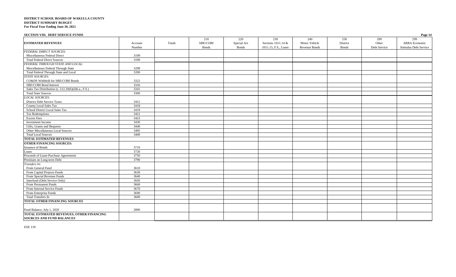| <b>SECTION VIII. DEBT SERVICE FUNDS</b>                                       |                   |        |                                  |                                    |                                                   |                                              |                                 |                              | Page 14                                              |
|-------------------------------------------------------------------------------|-------------------|--------|----------------------------------|------------------------------------|---------------------------------------------------|----------------------------------------------|---------------------------------|------------------------------|------------------------------------------------------|
| <b>ESTIMATED REVENUES</b>                                                     | Account<br>Number | Totals | 210<br>SBE/COBI<br><b>B</b> onds | 220<br>Special Act<br><b>Bonds</b> | 230<br>Sections 1011.14 &<br>1011.15, F.S., Loans | 240<br>Motor Vehicle<br><b>Revenue Bonds</b> | 250<br>District<br><b>Bonds</b> | 290<br>Other<br>Debt Service | 299<br><b>ARRA Economic</b><br>Stimulus Debt Service |
| <b>FEDERAL DIRECT SOURCES:</b>                                                |                   |        |                                  |                                    |                                                   |                                              |                                 |                              |                                                      |
| Miscellaneous Federal Direct                                                  | 3199              |        |                                  |                                    |                                                   |                                              |                                 |                              |                                                      |
| <b>Total Federal Direct Sources</b>                                           | 3100              |        |                                  |                                    |                                                   |                                              |                                 |                              |                                                      |
| FEDERAL THROUGH STATE AND LOCAL:                                              |                   |        |                                  |                                    |                                                   |                                              |                                 |                              |                                                      |
| Miscellaneous Federal Through State                                           | 3299              |        |                                  |                                    |                                                   |                                              |                                 |                              |                                                      |
| Total Federal Through State and Local                                         | 3200              |        |                                  |                                    |                                                   |                                              |                                 |                              |                                                      |
| STATE SOURCES:                                                                |                   |        |                                  |                                    |                                                   |                                              |                                 |                              |                                                      |
| CO&DS Withheld for SBE/COBI Bonds                                             | 3322              |        |                                  |                                    |                                                   |                                              |                                 |                              |                                                      |
| SBE/COBI Bond Interest                                                        | 3326              |        |                                  |                                    |                                                   |                                              |                                 |                              |                                                      |
| Sales Tax Distribution (s. 212.20(6)(d)6.a., F.S.)                            | 3341              |        |                                  |                                    |                                                   |                                              |                                 |                              |                                                      |
| <b>Total State Sources</b>                                                    | 3300              |        |                                  |                                    |                                                   |                                              |                                 |                              |                                                      |
| <b>LOCAL SOURCES:</b>                                                         |                   |        |                                  |                                    |                                                   |                                              |                                 |                              |                                                      |
| <b>District Debt Service Taxes</b>                                            | 3412              |        |                                  |                                    |                                                   |                                              |                                 |                              |                                                      |
| <b>County Local Sales Tax</b>                                                 | 3418              |        |                                  |                                    |                                                   |                                              |                                 |                              |                                                      |
| School District Local Sales Tax                                               | 3419              |        |                                  |                                    |                                                   |                                              |                                 |                              |                                                      |
| <b>Tax Redemptions</b>                                                        | 3421              |        |                                  |                                    |                                                   |                                              |                                 |                              |                                                      |
| <b>Excess Fees</b>                                                            | 3423              |        |                                  |                                    |                                                   |                                              |                                 |                              |                                                      |
| Investment Income                                                             | 3430              |        |                                  |                                    |                                                   |                                              |                                 |                              |                                                      |
| Gifts, Grants and Bequests                                                    | 3440              |        |                                  |                                    |                                                   |                                              |                                 |                              |                                                      |
| Other Miscellaneous Local Sources                                             | 3495              |        |                                  |                                    |                                                   |                                              |                                 |                              |                                                      |
| <b>Total Local Sources</b>                                                    | 3400              |        |                                  |                                    |                                                   |                                              |                                 |                              |                                                      |
| TOTAL ESTIMATED REVENUES                                                      |                   |        |                                  |                                    |                                                   |                                              |                                 |                              |                                                      |
| <b>OTHER FINANCING SOURCES:</b>                                               |                   |        |                                  |                                    |                                                   |                                              |                                 |                              |                                                      |
| <b>Issuance of Bonds</b>                                                      | 3710              |        |                                  |                                    |                                                   |                                              |                                 |                              |                                                      |
| Loans                                                                         | 3720              |        |                                  |                                    |                                                   |                                              |                                 |                              |                                                      |
| Proceeds of Lease-Purchase Agreements                                         | 3750              |        |                                  |                                    |                                                   |                                              |                                 |                              |                                                      |
| Premium on Long-term Debt                                                     | 3790              |        |                                  |                                    |                                                   |                                              |                                 |                              |                                                      |
| Transfers In:                                                                 |                   |        |                                  |                                    |                                                   |                                              |                                 |                              |                                                      |
| From General Fund                                                             | 3610              |        |                                  |                                    |                                                   |                                              |                                 |                              |                                                      |
| From Capital Projects Funds                                                   | 3630              |        |                                  |                                    |                                                   |                                              |                                 |                              |                                                      |
| From Special Revenue Funds                                                    | 3640              |        |                                  |                                    |                                                   |                                              |                                 |                              |                                                      |
| Interfund (Debt Service Only)                                                 | 3650              |        |                                  |                                    |                                                   |                                              |                                 |                              |                                                      |
| From Permanent Funds                                                          | 3660              |        |                                  |                                    |                                                   |                                              |                                 |                              |                                                      |
| From Internal Service Funds                                                   | 3670              |        |                                  |                                    |                                                   |                                              |                                 |                              |                                                      |
| From Enterprise Funds                                                         | 3690              |        |                                  |                                    |                                                   |                                              |                                 |                              |                                                      |
| Total Transfers In                                                            | 3600              |        |                                  |                                    |                                                   |                                              |                                 |                              |                                                      |
| TOTAL OTHER FINANCING SOURCES                                                 |                   |        |                                  |                                    |                                                   |                                              |                                 |                              |                                                      |
|                                                                               |                   |        |                                  |                                    |                                                   |                                              |                                 |                              |                                                      |
| Fund Balance, July 1, 2020                                                    | 2800              |        |                                  |                                    |                                                   |                                              |                                 |                              |                                                      |
| TOTAL ESTIMATED REVENUES, OTHER FINANCING<br><b>SOURCES AND FUND BALANCES</b> |                   |        |                                  |                                    |                                                   |                                              |                                 |                              |                                                      |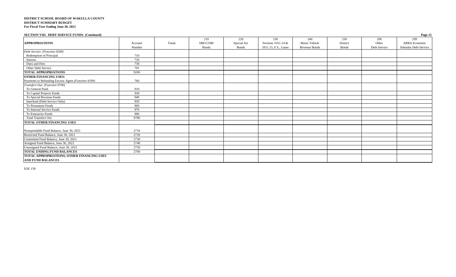| <b>SECTION VIII. DEBT SERVICE FUNDS (Continued)</b> |         |        |              |             |                      |                      |              |              | Page 15               |
|-----------------------------------------------------|---------|--------|--------------|-------------|----------------------|----------------------|--------------|--------------|-----------------------|
|                                                     |         |        | 210          | 220         | 230                  | 240                  | 250          | 290          | 299                   |
| <b>APPROPRIATIONS</b>                               | Account | Totals | SBE/COBI     | Special Act | Sections 1011.14 &   | Motor Vehicle        | District     | Other        | <b>ARRA</b> Economic  |
|                                                     | Number  |        | <b>Bonds</b> | Bonds       | 1011.15, F.S., Loans | <b>Revenue Bonds</b> | <b>Bonds</b> | Debt Service | Stimulus Debt Service |
| Debt Service: (Function 9200)                       |         |        |              |             |                      |                      |              |              |                       |
| Redemption of Principal                             | 710     |        |              |             |                      |                      |              |              |                       |
| Interest                                            | 720     |        |              |             |                      |                      |              |              |                       |
| Dues and Fees                                       | 730     |        |              |             |                      |                      |              |              |                       |
| Other Debt Service                                  | 791     |        |              |             |                      |                      |              |              |                       |
| <b>TOTAL APPROPRIATIONS</b>                         | 9200    |        |              |             |                      |                      |              |              |                       |
| <b>OTHER FINANCING USES:</b>                        |         |        |              |             |                      |                      |              |              |                       |
| Payments to Refunding Escrow Agent (Function 9299)  | 760     |        |              |             |                      |                      |              |              |                       |
| Transfers Out: (Function 9700)                      |         |        |              |             |                      |                      |              |              |                       |
| To General Fund                                     | 910     |        |              |             |                      |                      |              |              |                       |
| To Capital Projects Funds                           | 930     |        |              |             |                      |                      |              |              |                       |
| To Special Revenue Funds                            | 940     |        |              |             |                      |                      |              |              |                       |
| Interfund (Debt Service Only)                       | 950     |        |              |             |                      |                      |              |              |                       |
| To Permanent Funds                                  | 960     |        |              |             |                      |                      |              |              |                       |
| To Internal Service Funds                           | 970     |        |              |             |                      |                      |              |              |                       |
| To Enterprise Funds                                 | 990     |        |              |             |                      |                      |              |              |                       |
| <b>Total Transfers Out</b>                          | 9700    |        |              |             |                      |                      |              |              |                       |
| TOTAL OTHER FINANCING USES                          |         |        |              |             |                      |                      |              |              |                       |
|                                                     |         |        |              |             |                      |                      |              |              |                       |
| Nonspendable Fund Balance, June 30, 2021            | 2710    |        |              |             |                      |                      |              |              |                       |
| Restricted Fund Balance, June 30, 2021              | 2720    |        |              |             |                      |                      |              |              |                       |
| Committed Fund Balance, June 30, 2021               | 2730    |        |              |             |                      |                      |              |              |                       |
| Assigned Fund Balance, June 30, 2021                | 2740    |        |              |             |                      |                      |              |              |                       |
| Unassigned Fund Balance, June 30, 2021              | 2750    |        |              |             |                      |                      |              |              |                       |
| <b>TOTAL ENDING FUND BALANCES</b>                   | 2700    |        |              |             |                      |                      |              |              |                       |
| TOTAL APPROPRIATIONS, OTHER FINANCING USES          |         |        |              |             |                      |                      |              |              |                       |
| <b>AND FUND BALANCES</b>                            |         |        |              |             |                      |                      |              |              |                       |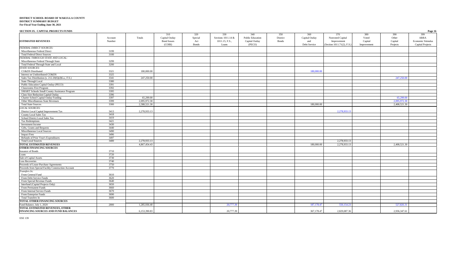| SECTION IX. CAPITAL PROJECTS FUNDS                  |         |              |                    |              |                    |                         |              |                |                           |             |              | Page 16                 |
|-----------------------------------------------------|---------|--------------|--------------------|--------------|--------------------|-------------------------|--------------|----------------|---------------------------|-------------|--------------|-------------------------|
|                                                     |         |              | 310                | 320          | 330                | 340                     | 350          | 360            | 370                       | 380         | 390          | 399                     |
|                                                     | Account | Totals       | Capital Outlay     | Special      | Sections 1011.14 & | <b>Public Education</b> | District     | Capital Outlay | Nonvoted Capital          | Voted       | Other        | ARRA                    |
| <b>ESTIMATED REVENUES</b>                           | Number  |              | <b>Bond Issues</b> | Act          | 1011.15, F.S.,     | Capital Outlay          | <b>Bonds</b> | and            | Improvement               | Capital     | Capital      | Economic Stimulus       |
|                                                     |         |              | (COBI)             | <b>Bonds</b> | Loans              | (PECO)                  |              | Debt Service   | Section 1011.71(2), F.S.) | Improvement | Projects     | <b>Capital Projects</b> |
| <b>FEDERAL DIRECT SOURCES:</b>                      |         |              |                    |              |                    |                         |              |                |                           |             |              |                         |
| Miscellaneous Federal Direct                        | 3199    |              |                    |              |                    |                         |              |                |                           |             |              |                         |
| <b>Total Federal Direct Sources</b>                 | 3100    |              |                    |              |                    |                         |              |                |                           |             |              |                         |
| FEDERAL THROUGH STATE AND LOCAL:                    |         |              |                    |              |                    |                         |              |                |                           |             |              |                         |
| Miscellaneous Federal Through State                 | 3299    |              |                    |              |                    |                         |              |                |                           |             |              |                         |
| Total Federal Through State and Local               | 3200    |              |                    |              |                    |                         |              |                |                           |             |              |                         |
| <b>STATE SOURCES:</b>                               |         |              |                    |              |                    |                         |              |                |                           |             |              |                         |
| CO&DS Distributed                                   | 3321    | 180,000.00   |                    |              |                    |                         |              | 180,000.00     |                           |             |              |                         |
| Interest on Undistributed CO&DS                     | 3325    |              |                    |              |                    |                         |              |                |                           |             |              |                         |
| Sales Tax Distribution (s. 212.20(6)(d)6.a., F.S.)  | 3341    | 247,250.00   |                    |              |                    |                         |              |                |                           |             | 247,250.00   |                         |
| State Through Local                                 | 3380    |              |                    |              |                    |                         |              |                |                           |             |              |                         |
| Public Education Capital Outlay (PECO)              | 3391    |              |                    |              |                    |                         |              |                |                           |             |              |                         |
| <b>Classrooms First Program</b>                     | 3392    |              |                    |              |                    |                         |              |                |                           |             |              |                         |
| SMART Schools Small County Assistance Program       | 3395    |              |                    |              |                    |                         |              |                |                           |             |              |                         |
| Class Size Reduction Capital Outlay                 | 3396    |              |                    |              |                    |                         |              |                |                           |             |              |                         |
| Charter School Capital Outlay Funding               | 3397    | 65,299.00    |                    |              |                    |                         |              |                |                           |             | 65,299.00    |                         |
| Other Miscellaneous State Revenues                  | 3399    | 2,095,972.30 |                    |              |                    |                         |              |                |                           |             | 2,095,972.30 |                         |
| <b>Total State Sources</b>                          | 3300    | 2,588,521.30 |                    |              |                    |                         |              | 180,000.00     |                           |             | 2,408,521.30 |                         |
| LOCAL SOURCES:                                      |         |              |                    |              |                    |                         |              |                |                           |             |              |                         |
| District Local Capital Improvement Tax              | 3413    | 2,278,933.13 |                    |              |                    |                         |              |                | 2,278,933.13              |             |              |                         |
| County Local Sales Tax                              | 3418    |              |                    |              |                    |                         |              |                |                           |             |              |                         |
| School District Local Sales Tax                     | 3419    |              |                    |              |                    |                         |              |                |                           |             |              |                         |
| Tax Redemptions                                     | 3421    |              |                    |              |                    |                         |              |                |                           |             |              |                         |
| Investment Income                                   | 3430    |              |                    |              |                    |                         |              |                |                           |             |              |                         |
| Gifts, Grants and Bequests                          | 3440    |              |                    |              |                    |                         |              |                |                           |             |              |                         |
| Miscellaneous Local Sources                         | 3490    |              |                    |              |                    |                         |              |                |                           |             |              |                         |
| <b>Impact Fees</b>                                  | 3496    |              |                    |              |                    |                         |              |                |                           |             |              |                         |
| Refunds of Prior Year's Expenditures                | 3497    |              |                    |              |                    |                         |              |                |                           |             |              |                         |
| <b>Total Local Sources</b>                          | 3400    | 2,278,933.13 |                    |              |                    |                         |              |                | 2,278,933.13              |             |              |                         |
| TOTAL ESTIMATED REVENUES                            |         | 4,867,454.43 |                    |              |                    |                         |              | 180,000,00     | 2,278,933.13              |             | 2,408,521.30 |                         |
| <b>OTHER FINANCING SOURCES</b>                      |         |              |                    |              |                    |                         |              |                |                           |             |              |                         |
| <b>Issuance of Bonds</b>                            | 3710    |              |                    |              |                    |                         |              |                |                           |             |              |                         |
| Loans                                               | 3720    |              |                    |              |                    |                         |              |                |                           |             |              |                         |
| Sale of Capital Assets                              | 3730    |              |                    |              |                    |                         |              |                |                           |             |              |                         |
| <b>Loss Recoveries</b>                              | 3740    |              |                    |              |                    |                         |              |                |                           |             |              |                         |
| Proceeds of Lease-Purchase Agreements               | 3750    |              |                    |              |                    |                         |              |                |                           |             |              |                         |
| Proceeds from Special Facility Construction Account | 3770    |              |                    |              |                    |                         |              |                |                           |             |              |                         |
| Transfers In:                                       |         |              |                    |              |                    |                         |              |                |                           |             |              |                         |
| From General Fund                                   | 3610    |              |                    |              |                    |                         |              |                |                           |             |              |                         |
| From Debt Service Funds                             | 3620    |              |                    |              |                    |                         |              |                |                           |             |              |                         |
| From Special Revenue Funds                          | 3640    |              |                    |              |                    |                         |              |                |                           |             |              |                         |
| Interfund (Capital Projects Only)                   | 3650    |              |                    |              |                    |                         |              |                |                           |             |              |                         |
| From Permanent Funds                                | 3660    |              |                    |              |                    |                         |              |                |                           |             |              |                         |
| From Internal Service Funds                         | 3670    |              |                    |              |                    |                         |              |                |                           |             |              |                         |
| From Enterprise Funds                               | 3690    |              |                    |              |                    |                         |              |                |                           |             |              |                         |
| Total Transfers In                                  | 3600    |              |                    |              |                    |                         |              |                |                           |             |              |                         |
| <b>TOTAL OTHER FINANCING SOURCES</b>                |         |              |                    |              |                    |                         |              |                |                           |             |              |                         |
| Fund Balance, July 1, 2020                          | 2800    | 1,285,936.40 |                    |              | 20,777.3           |                         |              | 187, 178.4     | 550,154.23                |             | 527,826.31   |                         |
| TOTAL ESTIMATED REVENUES, OTHER                     |         |              |                    |              |                    |                         |              |                |                           |             |              |                         |
| FINANCING SOURCES AND FUND BALANCES                 |         | 6.153.390.83 |                    |              | 20,777.39          |                         |              | 367,178.47     | 2,829,087.36              |             | 2.936,347.61 |                         |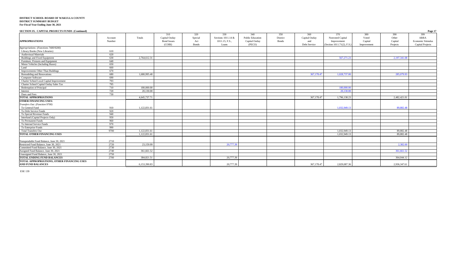| SECTION IX. CAPITAL PROJECTS FUNDS (Continued) |                   |              |                                                       |                                        |                                                      |                                                     |                                 |                                              |                                                                      |                                        |                                     | Page 17                                                     |
|------------------------------------------------|-------------------|--------------|-------------------------------------------------------|----------------------------------------|------------------------------------------------------|-----------------------------------------------------|---------------------------------|----------------------------------------------|----------------------------------------------------------------------|----------------------------------------|-------------------------------------|-------------------------------------------------------------|
| <b>APPROPRIATIONS</b>                          | Account<br>Number | Totals       | 310<br>Capital Outlay<br><b>Bond Issues</b><br>(COBI) | 320<br>Special<br>Act<br><b>B</b> onds | 330<br>Sections 1011.14 &<br>1011.15, F.S.,<br>Loans | 340<br>Public Education<br>Capital Outlay<br>(PECO) | 350<br>District<br><b>Bonds</b> | 360<br>Capital Outlay<br>and<br>Debt Service | 370<br>Nonvoted Capital<br>Improvement<br>(Section 1011.71(2), F.S.) | 380<br>Voted<br>Capital<br>Improvement | 390<br>Other<br>Capital<br>Projects | 399<br>ARRA<br><b>Economic Stimulus</b><br>Capital Projects |
| Appropriations: (Functions 7400/9200)          |                   |              |                                                       |                                        |                                                      |                                                     |                                 |                                              |                                                                      |                                        |                                     |                                                             |
| Library Books (New Libraries)                  | 610               |              |                                                       |                                        |                                                      |                                                     |                                 |                                              |                                                                      |                                        |                                     |                                                             |
| <b>Audiovisual Materials</b>                   | 620               |              |                                                       |                                        |                                                      |                                                     |                                 |                                              |                                                                      |                                        |                                     |                                                             |
| Buildings and Fixed Equipment                  | 630               | 2,764,612.31 |                                                       |                                        |                                                      |                                                     |                                 |                                              | 567,271.23                                                           |                                        | 2,197,341.08                        |                                                             |
| Furniture, Fixtures and Equipment              | 640               |              |                                                       |                                        |                                                      |                                                     |                                 |                                              |                                                                      |                                        |                                     |                                                             |
| Motor Vehicles (Including Buses)               | 650               |              |                                                       |                                        |                                                      |                                                     |                                 |                                              |                                                                      |                                        |                                     |                                                             |
| Land                                           | 660               |              |                                                       |                                        |                                                      |                                                     |                                 |                                              |                                                                      |                                        |                                     |                                                             |
| Improvements Other Than Buildings              | 670               |              |                                                       |                                        |                                                      |                                                     |                                 |                                              |                                                                      |                                        |                                     |                                                             |
| Remodeling and Renovations                     | 680               | 1,680,995.40 |                                                       |                                        |                                                      |                                                     |                                 | 367,178.4                                    | 1,028,737.00                                                         |                                        | 285,079.93                          |                                                             |
| Computer Software                              | 690               |              |                                                       |                                        |                                                      |                                                     |                                 |                                              |                                                                      |                                        |                                     |                                                             |
| Charter School Local Capital Improvement       | 793               |              |                                                       |                                        |                                                      |                                                     |                                 |                                              |                                                                      |                                        |                                     |                                                             |
| Charter School Capital Outlay Sales Tax        | 795               |              |                                                       |                                        |                                                      |                                                     |                                 |                                              |                                                                      |                                        |                                     |                                                             |
| Redemption of Principal                        | 710               | 180,000.00   |                                                       |                                        |                                                      |                                                     |                                 |                                              | 180,000,00                                                           |                                        |                                     |                                                             |
| Interest                                       | 720               | 20,130.00    |                                                       |                                        |                                                      |                                                     |                                 |                                              | 20,130.00                                                            |                                        |                                     |                                                             |
| Dues and Fees                                  | 730               |              |                                                       |                                        |                                                      |                                                     |                                 |                                              |                                                                      |                                        |                                     |                                                             |
| <b>TOTAL APPROPRIATIONS</b>                    |                   | 4,645,737.71 |                                                       |                                        |                                                      |                                                     |                                 | 367,178.47                                   | 1,796,138.23                                                         |                                        | 2,482,421.01                        |                                                             |
| <b>OTHER FINANCING USES:</b>                   |                   |              |                                                       |                                        |                                                      |                                                     |                                 |                                              |                                                                      |                                        |                                     |                                                             |
| Transfers Out: (Function 9700)                 |                   |              |                                                       |                                        |                                                      |                                                     |                                 |                                              |                                                                      |                                        |                                     |                                                             |
| To General Fund                                | 910               | 1,122,831.61 |                                                       |                                        |                                                      |                                                     |                                 |                                              | 1,032,949.13                                                         |                                        | 89,882.48                           |                                                             |
| To Debt Service Funds                          | 920               |              |                                                       |                                        |                                                      |                                                     |                                 |                                              |                                                                      |                                        |                                     |                                                             |
| To Special Revenue Funds                       | 940               |              |                                                       |                                        |                                                      |                                                     |                                 |                                              |                                                                      |                                        |                                     |                                                             |
| Interfund (Capital Projects Only)              | 950               |              |                                                       |                                        |                                                      |                                                     |                                 |                                              |                                                                      |                                        |                                     |                                                             |
| To Permanent Funds                             | 960               |              |                                                       |                                        |                                                      |                                                     |                                 |                                              |                                                                      |                                        |                                     |                                                             |
| To Internal Service Funds                      | 970               |              |                                                       |                                        |                                                      |                                                     |                                 |                                              |                                                                      |                                        |                                     |                                                             |
| To Enterprise Funds                            | 990               |              |                                                       |                                        |                                                      |                                                     |                                 |                                              |                                                                      |                                        |                                     |                                                             |
| <b>Total Transfers Out</b>                     | 9700              | 1,122,831.61 |                                                       |                                        |                                                      |                                                     |                                 |                                              | 1,032,949.13                                                         |                                        | 89,882.48                           |                                                             |
| TOTAL OTHER FINANCING USES                     |                   | 1,122,831.61 |                                                       |                                        |                                                      |                                                     |                                 |                                              | 1,032,949.13                                                         |                                        | 89.882.48                           |                                                             |
| Nonspendable Fund Balance, June 30, 2021       | 2710              |              |                                                       |                                        |                                                      |                                                     |                                 |                                              |                                                                      |                                        |                                     |                                                             |
| Restricted Fund Balance, June 30, 2021         | 2720              | 23,159.99    |                                                       |                                        | 20,777.39                                            |                                                     |                                 |                                              |                                                                      |                                        | 2,382.60                            |                                                             |
| Committed Fund Balance, June 30, 2021          | 2730              |              |                                                       |                                        |                                                      |                                                     |                                 |                                              |                                                                      |                                        |                                     |                                                             |
| Assigned Fund Balance, June 30, 2021           | 2740              | 361,661.52   |                                                       |                                        |                                                      |                                                     |                                 |                                              |                                                                      |                                        | 361,661.52                          |                                                             |
| Unassigned Fund Balance, June 30, 2021         | 2750              |              |                                                       |                                        |                                                      |                                                     |                                 |                                              |                                                                      |                                        |                                     |                                                             |
| <b>TOTAL ENDING FUND BALANCES</b>              | 2700              | 384,821.51   |                                                       |                                        | 20,777.39                                            |                                                     |                                 |                                              |                                                                      |                                        | 364,044.12                          |                                                             |
| TOTAL APPROPRIATIONS, OTHER FINANCING USES     |                   |              |                                                       |                                        |                                                      |                                                     |                                 |                                              |                                                                      |                                        |                                     |                                                             |
| <b>AND FUND BALANCES</b>                       |                   | 6.153.390.83 |                                                       |                                        | 20,777.39                                            |                                                     |                                 | 367,178.47                                   | 2,829,087.36                                                         |                                        | 2.936,347.61                        |                                                             |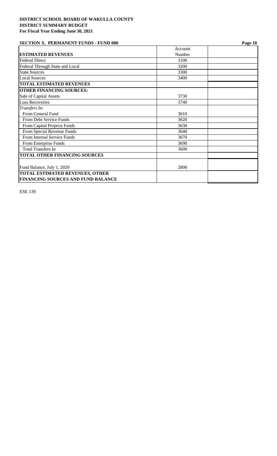### **SECTION X. PERMANENT FUNDS - FUND 000** Page 18

|                                           | Account |  |
|-------------------------------------------|---------|--|
| <b>ESTIMATED REVENUES</b>                 | Number  |  |
| <b>Federal Direct</b>                     | 3100    |  |
| Federal Through State and Local           | 3200    |  |
| <b>State Sources</b>                      | 3300    |  |
| <b>Local Sources</b>                      | 3400    |  |
| <b>TOTAL ESTIMATED REVENUES</b>           |         |  |
| <b>OTHER FINANCING SOURCES:</b>           |         |  |
| Sale of Capital Assets                    | 3730    |  |
| <b>Loss Recoveries</b>                    | 3740    |  |
| Transfers In:                             |         |  |
| From General Fund                         | 3610    |  |
| From Debt Service Funds                   | 3620    |  |
| From Capital Projects Funds               | 3630    |  |
| From Special Revenue Funds                | 3640    |  |
| From Internal Service Funds               | 3670    |  |
| From Enterprise Funds                     | 3690    |  |
| <b>Total Transfers In</b>                 | 3600    |  |
| <b>TOTAL OTHER FINANCING SOURCES</b>      |         |  |
| Fund Balance, July 1, 2020                | 2800    |  |
| <b>TOTAL ESTIMATED REVENUES, OTHER</b>    |         |  |
| <b>FINANCING SOURCES AND FUND BALANCE</b> |         |  |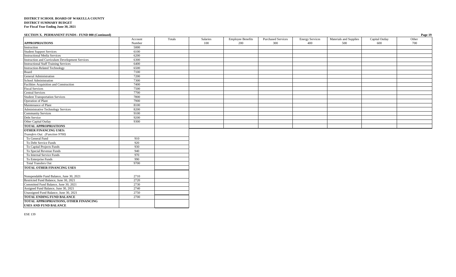#### **SECTION X. PERMANENT FUNDS - FUND 000 (Continued) Page 19**

|                                                                                                                          | Account | Totals | Salaries | <b>Employee Benefits</b> | <b>Purchased Services</b> | <b>Energy Services</b> | Materials and Supplies | Capital Outlay | Other |
|--------------------------------------------------------------------------------------------------------------------------|---------|--------|----------|--------------------------|---------------------------|------------------------|------------------------|----------------|-------|
| <b>APPROPRIATIONS</b>                                                                                                    | Number  |        | 100      | 200                      | 300                       | 400                    | 500                    | 600            | 700   |
| Instruction                                                                                                              | 5000    |        |          |                          |                           |                        |                        |                |       |
| <b>Student Support Services</b>                                                                                          | 6100    |        |          |                          |                           |                        |                        |                |       |
|                                                                                                                          | 6200    |        |          |                          |                           |                        |                        |                |       |
| Instructional Media Services<br>Instruction and Curriculum Development Services<br>Instructional Staff Training Services | 6300    |        |          |                          |                           |                        |                        |                |       |
|                                                                                                                          | 6400    |        |          |                          |                           |                        |                        |                |       |
| <b>Instruction-Related Technology</b>                                                                                    | 6500    |        |          |                          |                           |                        |                        |                |       |
| Board                                                                                                                    | 7100    |        |          |                          |                           |                        |                        |                |       |
|                                                                                                                          | 7200    |        |          |                          |                           |                        |                        |                |       |
| General Administration<br>School Administration                                                                          | 7300    |        |          |                          |                           |                        |                        |                |       |
| Facilities Acquisition and Construction                                                                                  | 7400    |        |          |                          |                           |                        |                        |                |       |
| Fiscal Services                                                                                                          | 7500    |        |          |                          |                           |                        |                        |                |       |
| <b>Central Services</b>                                                                                                  | 7700    |        |          |                          |                           |                        |                        |                |       |
| <b>Student Transportation Services</b>                                                                                   | 7800    |        |          |                          |                           |                        |                        |                |       |
| Operation of Plant<br>Maintenance of Plant                                                                               | 7900    |        |          |                          |                           |                        |                        |                |       |
|                                                                                                                          | 8100    |        |          |                          |                           |                        |                        |                |       |
| <b>Administrative Technology Services</b>                                                                                | 8200    |        |          |                          |                           |                        |                        |                |       |
| <b>Community Services</b>                                                                                                | 9100    |        |          |                          |                           |                        |                        |                |       |
| Debt Service                                                                                                             | 9200    |        |          |                          |                           |                        |                        |                |       |
| Other Capital Outlay                                                                                                     | 9300    |        |          |                          |                           |                        |                        |                |       |
| <b>TOTAL APPROPRIATIONS</b>                                                                                              |         |        |          |                          |                           |                        |                        |                |       |
| <b>OTHER FINANCING USES:</b>                                                                                             |         |        |          |                          |                           |                        |                        |                |       |
| Transfers Out: (Function 9700)                                                                                           |         |        |          |                          |                           |                        |                        |                |       |
| To General Fund                                                                                                          | 910     |        |          |                          |                           |                        |                        |                |       |
| To Debt Service Funds                                                                                                    | 920     |        |          |                          |                           |                        |                        |                |       |
| To Capital Projects Funds                                                                                                | 930     |        |          |                          |                           |                        |                        |                |       |
| To Special Revenue Funds                                                                                                 | 940     |        |          |                          |                           |                        |                        |                |       |
| To Internal Service Funds                                                                                                | 970     |        |          |                          |                           |                        |                        |                |       |
| To Enterprise Funds                                                                                                      | 990     |        |          |                          |                           |                        |                        |                |       |
| Total Transfers Out                                                                                                      | 9700    |        |          |                          |                           |                        |                        |                |       |
| TOTAL OTHER FINANCING USES                                                                                               |         |        |          |                          |                           |                        |                        |                |       |
|                                                                                                                          |         |        |          |                          |                           |                        |                        |                |       |
|                                                                                                                          | 2710    |        |          |                          |                           |                        |                        |                |       |
| Nonspendable Fund Balance, June 30, 2021<br>Restricted Fund Balance, June 30, 2021                                       | 2720    |        |          |                          |                           |                        |                        |                |       |
| Committed Fund Balance, June 30, 2021                                                                                    | 2730    |        |          |                          |                           |                        |                        |                |       |
| Assigned Fund Balance, June 30, 2021                                                                                     | 2740    |        |          |                          |                           |                        |                        |                |       |
| Unassigned Fund Balance, June 30, 2021                                                                                   | 2750    |        |          |                          |                           |                        |                        |                |       |
| TOTAL ENDING FUND BALANCE                                                                                                | 2700    |        |          |                          |                           |                        |                        |                |       |
| TOTAL APPROPRIATIONS, OTHER FINANCING                                                                                    |         |        |          |                          |                           |                        |                        |                |       |
| <b>USES AND FUND BALANCE</b>                                                                                             |         |        |          |                          |                           |                        |                        |                |       |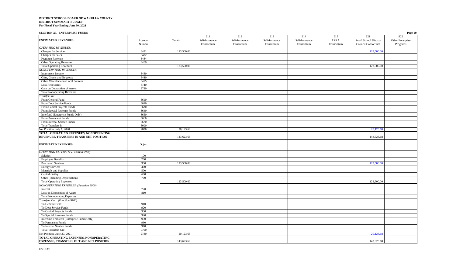| <b>SECTION XI. ENTERPRISE FUNDS</b>                                                       |         |            |                |                |                |                |             |                       | Page 20          |
|-------------------------------------------------------------------------------------------|---------|------------|----------------|----------------|----------------|----------------|-------------|-----------------------|------------------|
|                                                                                           |         |            | 911            | 912            | 913            | 914            | 915         | 921                   | 922              |
| <b>ESTIMATED REVENUES</b>                                                                 | Account | Totals     | Self-Insurance | Self-Insurance | Self-Insurance | Self-Insurance | <b>ARRA</b> | Small School Disticts | Other Enterprise |
|                                                                                           | Number  |            | Consortium     | Consortium     | Consortium     | Consortium     | Consortium  | Council Consortium    | Programs         |
| <b>OPERATING REVENUES:</b>                                                                |         |            |                |                |                |                |             |                       |                  |
| Charges for Services                                                                      | 3481    | 123,500.00 |                |                |                |                |             | 123,500.00            |                  |
| Charges for Sales                                                                         | 3482    |            |                |                |                |                |             |                       |                  |
| Premium Revenue                                                                           | 3484    |            |                |                |                |                |             |                       |                  |
| <b>Other Operating Revenues</b>                                                           | 3489    |            |                |                |                |                |             |                       |                  |
| <b>Total Operating Revenues</b>                                                           |         | 123,500.00 |                |                |                |                |             | 123,500.00            |                  |
| <b>NONOPERATING REVENUES:</b>                                                             |         |            |                |                |                |                |             |                       |                  |
| Investment Income                                                                         | 3430    |            |                |                |                |                |             |                       |                  |
| Gifts, Grants and Bequests                                                                | 3440    |            |                |                |                |                |             |                       |                  |
| Other Miscellaneous Local Sources                                                         | 3495    |            |                |                |                |                |             |                       |                  |
| <b>Loss Recoveries</b>                                                                    | 3740    |            |                |                |                |                |             |                       |                  |
| Gain on Disposition of Assets                                                             | 3780    |            |                |                |                |                |             |                       |                  |
| <b>Total Nonoperating Revenues</b>                                                        |         |            |                |                |                |                |             |                       |                  |
| Transfers In:                                                                             |         |            |                |                |                |                |             |                       |                  |
| From General Fund                                                                         | 3610    |            |                |                |                |                |             |                       |                  |
| From Debt Service Funds                                                                   | 3620    |            |                |                |                |                |             |                       |                  |
| From Capital Projects Funds                                                               | 3630    |            |                |                |                |                |             |                       |                  |
| From Special Revenue Funds                                                                | 3640    |            |                |                |                |                |             |                       |                  |
| Interfund (Enterprise Funds Only)                                                         | 3650    |            |                |                |                |                |             |                       |                  |
| From Permanent Funds                                                                      | 3660    |            |                |                |                |                |             |                       |                  |
| From Internal Service Funds                                                               | 3670    |            |                |                |                |                |             |                       |                  |
| <b>Total Transfers In</b>                                                                 | 3600    |            |                |                |                |                |             |                       |                  |
| Net Position, July 1, 2020                                                                | 2880    | 20,123.68  |                |                |                |                |             | 20,123.68             |                  |
| TOTAL OPERATING REVENUES, NONOPERATING                                                    |         |            |                |                |                |                |             |                       |                  |
| REVENUES, TRANSFERS IN AND NET POSITION                                                   |         | 143,623.68 |                |                |                |                |             | 143,623.68            |                  |
| <b>ESTIMATED EXPENSES</b>                                                                 | Object  |            |                |                |                |                |             |                       |                  |
| OPERATING EXPENSES: (Function 9900)                                                       |         |            |                |                |                |                |             |                       |                  |
| Salaries                                                                                  | 100     |            |                |                |                |                |             |                       |                  |
| <b>Employee Benefits</b>                                                                  | 200     |            |                |                |                |                |             |                       |                  |
| <b>Purchased Services</b>                                                                 | 300     | 123,500.00 |                |                |                |                |             | 123,500.00            |                  |
| <b>Energy Services</b>                                                                    | 400     |            |                |                |                |                |             |                       |                  |
| Materials and Supplies                                                                    | 500     |            |                |                |                |                |             |                       |                  |
| Capital Outlay                                                                            | 600     |            |                |                |                |                |             |                       |                  |
| Other (including Depreciation)                                                            | 700     |            |                |                |                |                |             |                       |                  |
| <b>Total Operating Expenses</b>                                                           |         | 123,500.00 |                |                |                |                |             | 123,500.00            |                  |
| <b>NONOPERATING EXPENSES: (Function 9900)</b>                                             |         |            |                |                |                |                |             |                       |                  |
| Interest                                                                                  | 720     |            |                |                |                |                |             |                       |                  |
| Loss on Disposition of Assets                                                             | 810     |            |                |                |                |                |             |                       |                  |
| <b>Total Nonoperating Expenses</b>                                                        |         |            |                |                |                |                |             |                       |                  |
| Transfers Out: (Function 9700)                                                            |         |            |                |                |                |                |             |                       |                  |
| To General Fund                                                                           | 910     |            |                |                |                |                |             |                       |                  |
| To Debt Service Funds                                                                     | 920     |            |                |                |                |                |             |                       |                  |
| To Capital Projects Funds                                                                 | 930     |            |                |                |                |                |             |                       |                  |
| To Special Revenue Funds                                                                  | 940     |            |                |                |                |                |             |                       |                  |
| Interfund Transfers (Enterprise Funds Only)                                               | 950     |            |                |                |                |                |             |                       |                  |
| To Permanent Funds                                                                        | 960     |            |                |                |                |                |             |                       |                  |
|                                                                                           | 970     |            |                |                |                |                |             |                       |                  |
| To Internal Service Funds                                                                 |         |            |                |                |                |                |             |                       |                  |
| <b>Total Transfers Out</b>                                                                | 9700    |            |                |                |                |                |             |                       |                  |
| Net Position, June 30, 2021                                                               | 2780    | 20,123.68  |                |                |                |                |             | 20,123.68             |                  |
| TOTAL OPERATING EXPENSES, NONOPERATING<br><b>EXPENSES, TRANSFERS OUT AND NET POSITION</b> |         | 143,623.68 |                |                |                |                |             | 143,623.68            |                  |